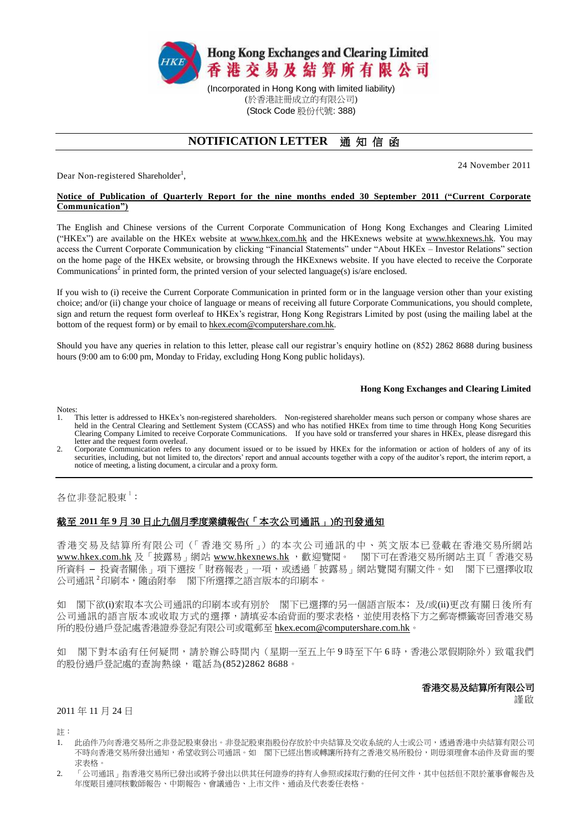

(Incorporated in Hong Kong with limited liability) (於香港註冊成立的有限公司) (Stock Code 股份代號: 388)

# **NOTIFICATION LETTER** 通 知 信 函

Dear Non-registered Shareholder<sup>1</sup>,

24 November 2011

### **Notice of Publication of Quarterly Report for the nine months ended 30 September 2011 ("Current Corporate Communication")**

The English and Chinese versions of the Current Corporate Communication of Hong Kong Exchanges and Clearing Limited ("HKEx") are available on the HKEx website at [www.hkex.com.hk](http://www.hkex.com.hk/) and the HKExnews website at [www.hkexnews.hk.](http://www.hkexnews.hk/) You may access the Current Corporate Communication by clicking "Financial Statements" under "About HKEx – Investor Relations" section on the home page of the HKEx website, or browsing through the HKExnews website. If you have elected to receive the Corporate Communications<sup>2</sup> in printed form, the printed version of your selected language(s) is/are enclosed.

If you wish to (i) receive the Current Corporate Communication in printed form or in the language version other than your existing choice; and/or (ii) change your choice of language or means of receiving all future Corporate Communications, you should complete, sign and return the request form overleaf to HKEx's registrar, Hong Kong Registrars Limited by post (using the mailing label at the bottom of the request form) or by email to [hkex.ecom@computershare.com.hk.](mailto:hkex.ecom@computershare.com.hk)

Should you have any queries in relation to this letter, please call our registrar's enquiry hotline on (852) 2862 8688 during business hours (9:00 am to 6:00 pm, Monday to Friday, excluding Hong Kong public holidays).

#### **Hong Kong Exchanges and Clearing Limited**

Notes:

- 1. This letter is addressed to HKEx's non-registered shareholders. Non-registered shareholder means such person or company whose shares are held in the Central Clearing and Settlement System (CCASS) and who has notified HKEx from time to time through Hong Kong Securities Clearing Company Limited to receive Corporate Communications. If you have sold or transferred your shares in HKEx, please disregard this letter and the request form overleaf.
- 2. Corporate Communication refers to any document issued or to be issued by HKEx for the information or action of holders of any of its securities, including, but not limited to, the directors' report and annual accounts together with a copy of the auditor's report, the interim report, a notice of meeting, a listing document, a circular and a proxy form.

各位非登記股東 $^{-1}$ :

## 截至 **2011** 年 **9** 月 **30** 日止九個月季度業績報告(「本次公司通訊」)的刊發通知

香港交易及結算所有限公司(「香港交易所」)的本次公司通訊的中、英文版本已登載在香港交易所網站 [www.hkex.com.hk](http://www.hkex.com.hk/) 及「披露易」網站 [www.hkexnews.hk](http://www.hkexnews.hk/) , 歡迎覽閱。 閣下可在香港交易所網站主頁「香港交易 所資料 – 投資者關係,項下選按[「財務報表」](http://www.hkex.com.hk/chi/exchange/invest/finance/finstat_c.htm)一項,或透過「披露易」網站覽閱有關文件。如 閣下已選擇收取 公司通訊 2印刷本,隨函附奉 閣下所選擇之語言版本的印刷本。

如 閣下欲(i)索取本次公司通訊的印刷本或有別於 閣下已選擇的另一個語言版本; 及/或(ii)更改有關日後所有 公司通訊的語言版本或收取方式的選擇,請填妥本函背面的要求表格,並使用表格下方之郵寄標籤寄回香港交易 所的股份過戶登記處香港證券登記有限公司或電郵至 [hkex.ecom@computershare.com.hk](mailto:hkex.ecom@computershare.com.hk)。

如 閣下對本函有任何疑問,請於辦公時間內(星期一至五上午9時至下午6時,香港公眾假期除外)致電我們 的股份過戶登記處的查詢熱線,電話為(852)2862 8688。

### 香港交易及結算所有限公司

謹啟

### 2011 年 11 月 24 日

註:

- 1. 此函件乃向香港交易所之非登記股東發出。非登記股東指股份存放於中央結算及交收系統的人士或公司,透過香港中央結算有限公司 不時向香港交易所發出通知,希望收到公司通訊。如 閣下已經出售或轉讓所持有之香港交易所股份,則毋須理會本函件及背面的要 求表格。
- 2. 「公司通訊」指香港交易所已發出或將予發出以供其任何證券的持有人參照或採取行動的任何文件,其中包括但不限於董事會報告及 年度賬目連同核數師報告、中期報告、會議通告、上市文件、通函及代表委任表格。